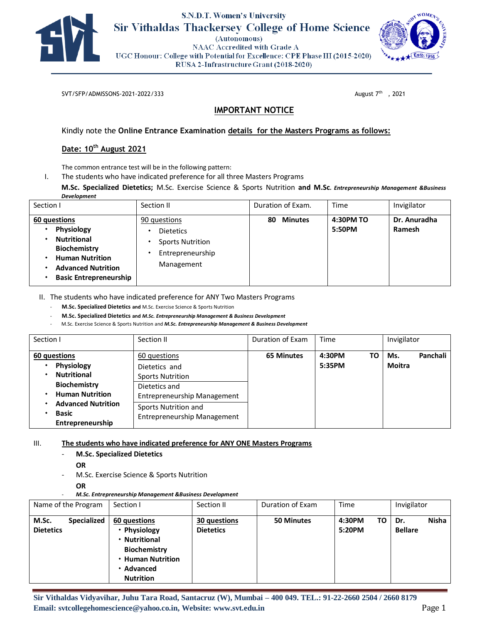

# S.N.D.T. Women's University **Sir Vithaldas Thackersey College of Home Science**

(Autonomous) **NAAC Accredited with Grade A** UGC Honour: College with Potential for Excellence: CPE Phase III (2015-2020) RUSA 2-Infrastructure Grant (2018-2020)



SVT/SFP/ADMISSONS-2021-2022/333

August  $7<sup>th</sup>$ , 2021

## **IMPORTANT NOTICE**

Kindly note the **Online Entrance Examination details for the Masters Programs as follows:** 

### **Date: 10th August 2021**

The common entrance test will be in the following pattern:

I. The students who have indicated preference for all three Masters Programs

**M.Sc. Specialized Dietetics;** M.Sc. Exercise Science & Sports Nutrition **and M.Sc***. Entrepreneurship Management &Business Development*

| Section I                                                                                                                                                | Section II                                                                                    | Duration of Exam.    | Time                | Invigilator            |
|----------------------------------------------------------------------------------------------------------------------------------------------------------|-----------------------------------------------------------------------------------------------|----------------------|---------------------|------------------------|
| 60 questions<br>Physiology<br><b>Nutritional</b><br>Biochemistry<br><b>Human Nutrition</b><br><b>Advanced Nutrition</b><br><b>Basic Entrepreneurship</b> | 90 questions<br><b>Dietetics</b><br><b>Sports Nutrition</b><br>Entrepreneurship<br>Management | <b>Minutes</b><br>80 | 4:30PM TO<br>5:50PM | Dr. Anuradha<br>Ramesh |

II. The students who have indicated preference for ANY Two Masters Programs

- **M.Sc. Specialized Dietetics and** M.Sc. Exercise Science & Sports Nutrition

- **M.Sc. Specialized Dietetics and** *M.Sc. Entrepreneurship Management & Business Development*

- M.Sc. Exercise Science & Sports Nutrition and *M.Sc. Entrepreneurship Management & Business Development*

| Section I                                                                                                                                                          | Section II                                                                                                                                                                    | Duration of Exam  | Time                   | Invigilator               |
|--------------------------------------------------------------------------------------------------------------------------------------------------------------------|-------------------------------------------------------------------------------------------------------------------------------------------------------------------------------|-------------------|------------------------|---------------------------|
| 60 questions<br>Physiology<br><b>Nutritional</b><br><b>Biochemistry</b><br><b>Human Nutrition</b><br><b>Advanced Nutrition</b><br><b>Basic</b><br>Entrepreneurship | 60 questions<br>Dietetics and<br><b>Sports Nutrition</b><br>Dietetics and<br><b>Entrepreneurship Management</b><br>Sports Nutrition and<br><b>Entrepreneurship Management</b> | <b>65 Minutes</b> | 4:30PM<br>ТΟ<br>5:35PM | Panchali<br>Ms.<br>Moitra |

III. **The students who have indicated preference for ANY ONE Masters Programs** 

#### - **M.Sc. Specialized Dietetics**

**OR** 

- M.Sc. Exercise Science & Sports Nutrition
	- **OR**

- *M.Sc. Entrepreneurship Management &Business Development*

| Name of the Program                             | Section I                                                                                                                      | Section II                       | Duration of Exam | Time                   | Invigilator                           |
|-------------------------------------------------|--------------------------------------------------------------------------------------------------------------------------------|----------------------------------|------------------|------------------------|---------------------------------------|
| <b>Specialized</b><br>M.Sc.<br><b>Dietetics</b> | 60 questions<br>Physiology<br>• Nutritional<br><b>Biochemistry</b><br><b>Human Nutrition</b><br>• Advanced<br><b>Nutrition</b> | 30 questions<br><b>Dietetics</b> | 50 Minutes       | 4:30PM<br>TO<br>5:20PM | <b>Nisha</b><br>Dr.<br><b>Bellare</b> |